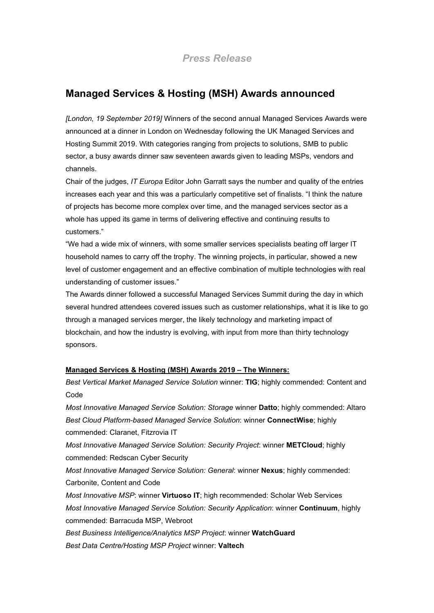# **Managed Services & Hosting (MSH) Awards announced**

*[London, 19 September 2019]* Winners of the second annual Managed Services Awards were announced at a dinner in London on Wednesday following the UK Managed Services and Hosting Summit 2019. With categories ranging from projects to solutions, SMB to public sector, a busy awards dinner saw seventeen awards given to leading MSPs, vendors and channels.

Chair of the judges, *IT Europa* Editor John Garratt says the number and quality of the entries increases each year and this was a particularly competitive set of finalists. "I think the nature of projects has become more complex over time, and the managed services sector as a whole has upped its game in terms of delivering effective and continuing results to customers."

"We had a wide mix of winners, with some smaller services specialists beating off larger IT household names to carry off the trophy. The winning projects, in particular, showed a new level of customer engagement and an effective combination of multiple technologies with real understanding of customer issues."

The Awards dinner followed a successful Managed Services Summit during the day in which several hundred attendees covered issues such as customer relationships, what it is like to go through a managed services merger, the likely technology and marketing impact of blockchain, and how the industry is evolving, with input from more than thirty technology sponsors.

## **Managed Services & Hosting (MSH) Awards 2019 – The Winners:**

*Best Vertical Market Managed Service Solution* winner: **TIG**; highly commended: Content and Code

*Most Innovative Managed Service Solution: Storage* winner **Datto**; highly commended: Altaro *Best Cloud Platform-based Managed Service Solution*: winner **ConnectWise**; highly commended: Claranet, Fitzrovia IT

*Most Innovative Managed Service Solution: Security Project*: winner **METCloud**; highly commended: Redscan Cyber Security

*Most Innovative Managed Service Solution: General*: winner **Nexus**; highly commended: Carbonite, Content and Code

*Most Innovative MSP*: winner **Virtuoso IT**; high recommended: Scholar Web Services *Most Innovative Managed Service Solution: Security Application*: winner **Continuum**, highly commended: Barracuda MSP, Webroot

*Best Business Intelligence/Analytics MSP Project*: winner **WatchGuard** *Best Data Centre/Hosting MSP Project* winner: **Valtech**